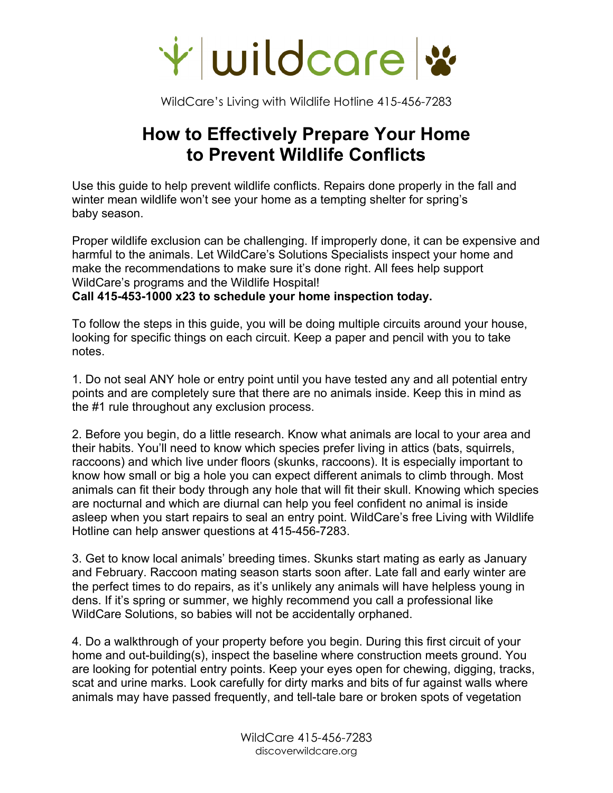

## **How to Effectively Prepare Your Home to Prevent Wildlife Conflicts**

Use this guide to help prevent wildlife conflicts. Repairs done properly in the fall and winter mean wildlife won't see your home as a tempting shelter for spring's baby season.

Proper wildlife exclusion can be challenging. If improperly done, it can be expensive and harmful to the animals. Let WildCare's Solutions Specialists inspect your home and make the recommendations to make sure it's done right. All fees help support WildCare's programs and the Wildlife Hospital!

**Call 415-453-1000 x23 to schedule your home inspection today.** 

To follow the steps in this guide, you will be doing multiple circuits around your house, looking for specific things on each circuit. Keep a paper and pencil with you to take notes.

1. Do not seal ANY hole or entry point until you have tested any and all potential entry points and are completely sure that there are no animals inside. Keep this in mind as the #1 rule throughout any exclusion process.

2. Before you begin, do a little research. Know what animals are local to your area and their habits. You'll need to know which species prefer living in attics (bats, squirrels, raccoons) and which live under floors (skunks, raccoons). It is especially important to know how small or big a hole you can expect different animals to climb through. Most animals can fit their body through any hole that will fit their skull. Knowing which species are nocturnal and which are diurnal can help you feel confident no animal is inside asleep when you start repairs to seal an entry point. WildCare's free Living with Wildlife Hotline can help answer questions at 415-456-7283.

3. Get to know local animals' breeding times. Skunks start mating as early as January and February. Raccoon mating season starts soon after. Late fall and early winter are the perfect times to do repairs, as it's unlikely any animals will have helpless young in dens. If it's spring or summer, we highly recommend you call a professional like WildCare Solutions, so babies will not be accidentally orphaned.

4. Do a walkthrough of your property before you begin. During this first circuit of your home and out-building(s), inspect the baseline where construction meets ground. You are looking for potential entry points. Keep your eyes open for chewing, digging, tracks, scat and urine marks. Look carefully for dirty marks and bits of fur against walls where animals may have passed frequently, and tell-tale bare or broken spots of vegetation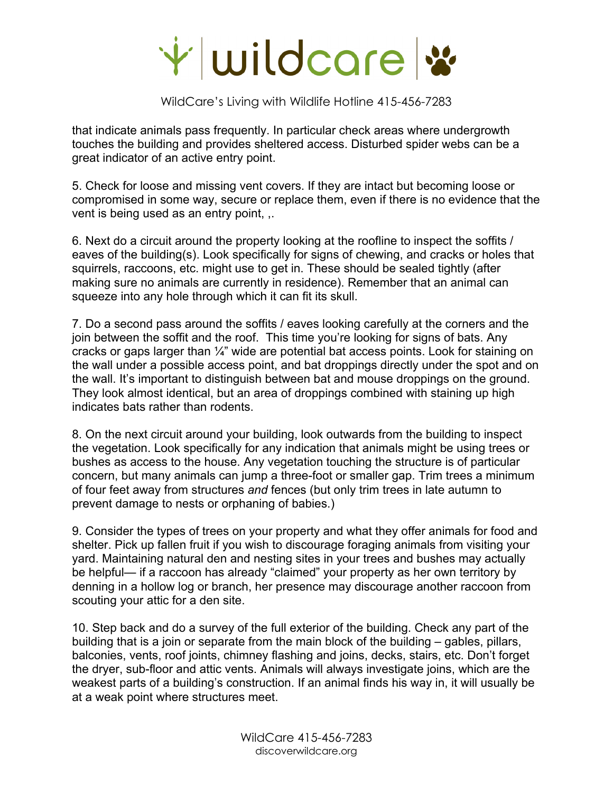

that indicate animals pass frequently. In particular check areas where undergrowth touches the building and provides sheltered access. Disturbed spider webs can be a great indicator of an active entry point.

5. Check for loose and missing vent covers. If they are intact but becoming loose or compromised in some way, secure or replace them, even if there is no evidence that the vent is being used as an entry point, ,.

6. Next do a circuit around the property looking at the roofline to inspect the soffits / eaves of the building(s). Look specifically for signs of chewing, and cracks or holes that squirrels, raccoons, etc. might use to get in. These should be sealed tightly (after making sure no animals are currently in residence). Remember that an animal can squeeze into any hole through which it can fit its skull.

7. Do a second pass around the soffits / eaves looking carefully at the corners and the join between the soffit and the roof. This time you're looking for signs of bats. Any cracks or gaps larger than ¼" wide are potential bat access points. Look for staining on the wall under a possible access point, and bat droppings directly under the spot and on the wall. It's important to distinguish between bat and mouse droppings on the ground. They look almost identical, but an area of droppings combined with staining up high indicates bats rather than rodents.

8. On the next circuit around your building, look outwards from the building to inspect the vegetation. Look specifically for any indication that animals might be using trees or bushes as access to the house. Any vegetation touching the structure is of particular concern, but many animals can jump a three-foot or smaller gap. Trim trees a minimum of four feet away from structures *and* fences (but only trim trees in late autumn to prevent damage to nests or orphaning of babies.)

9. Consider the types of trees on your property and what they offer animals for food and shelter. Pick up fallen fruit if you wish to discourage foraging animals from visiting your yard. Maintaining natural den and nesting sites in your trees and bushes may actually be helpful— if a raccoon has already "claimed" your property as her own territory by denning in a hollow log or branch, her presence may discourage another raccoon from scouting your attic for a den site.

10. Step back and do a survey of the full exterior of the building. Check any part of the building that is a join or separate from the main block of the building – gables, pillars, balconies, vents, roof joints, chimney flashing and joins, decks, stairs, etc. Don't forget the dryer, sub-floor and attic vents. Animals will always investigate joins, which are the weakest parts of a building's construction. If an animal finds his way in, it will usually be at a weak point where structures meet.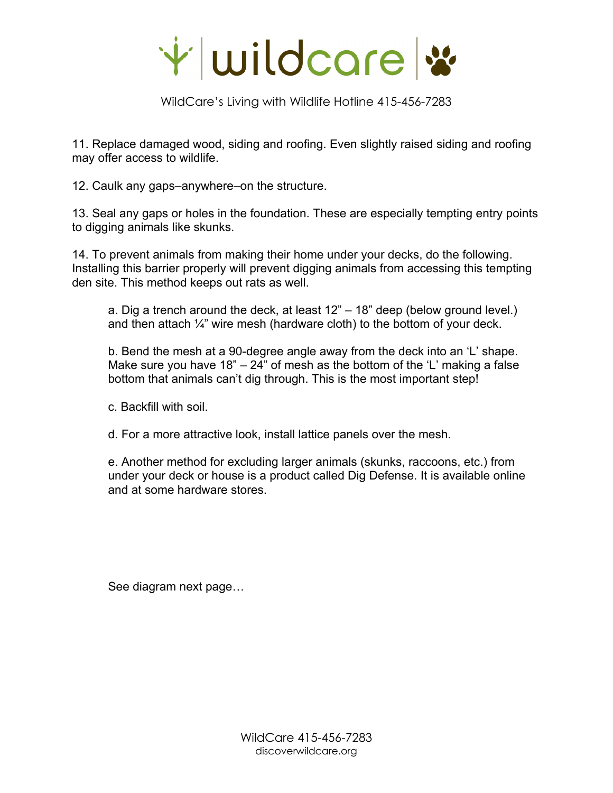

11. Replace damaged wood, siding and roofing. Even slightly raised siding and roofing may offer access to wildlife.

12. Caulk any gaps–anywhere–on the structure.

13. Seal any gaps or holes in the foundation. These are especially tempting entry points to digging animals like skunks.

14. To prevent animals from making their home under your decks, do the following. Installing this barrier properly will prevent digging animals from accessing this tempting den site. This method keeps out rats as well.

a. Dig a trench around the deck, at least 12" – 18" deep (below ground level.) and then attach  $\frac{1}{4}$ " wire mesh (hardware cloth) to the bottom of your deck.

b. Bend the mesh at a 90-degree angle away from the deck into an 'L' shape. Make sure you have 18"  $-$  24" of mesh as the bottom of the 'L' making a false bottom that animals can't dig through. This is the most important step!

c. Backfill with soil.

d. For a more attractive look, install lattice panels over the mesh.

e. Another method for excluding larger animals (skunks, raccoons, etc.) from under your deck or house is a product called Dig Defense. It is available online and at some hardware stores.

See diagram next page…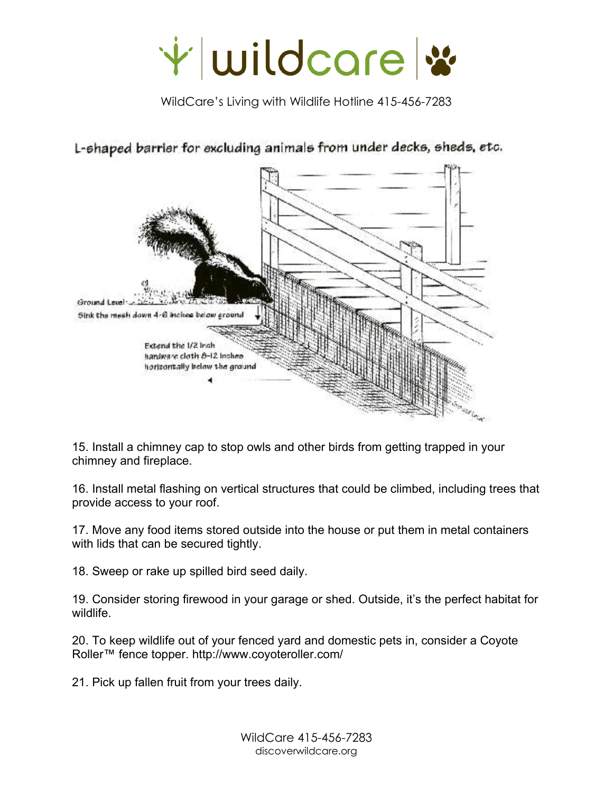



L-shaped barrier for excluding animals from under decks, sheds, etc.

15. Install a chimney cap to stop owls and other birds from getting trapped in your chimney and fireplace.

16. Install metal flashing on vertical structures that could be climbed, including trees that provide access to your roof.

17. Move any food items stored outside into the house or put them in metal containers with lids that can be secured tightly.

18. Sweep or rake up spilled bird seed daily.

19. Consider storing firewood in your garage or shed. Outside, it's the perfect habitat for wildlife.

20. To keep wildlife out of your fenced yard and domestic pets in, consider a Coyote Roller™ fence topper. http://www.coyoteroller.com/

21. Pick up fallen fruit from your trees daily.